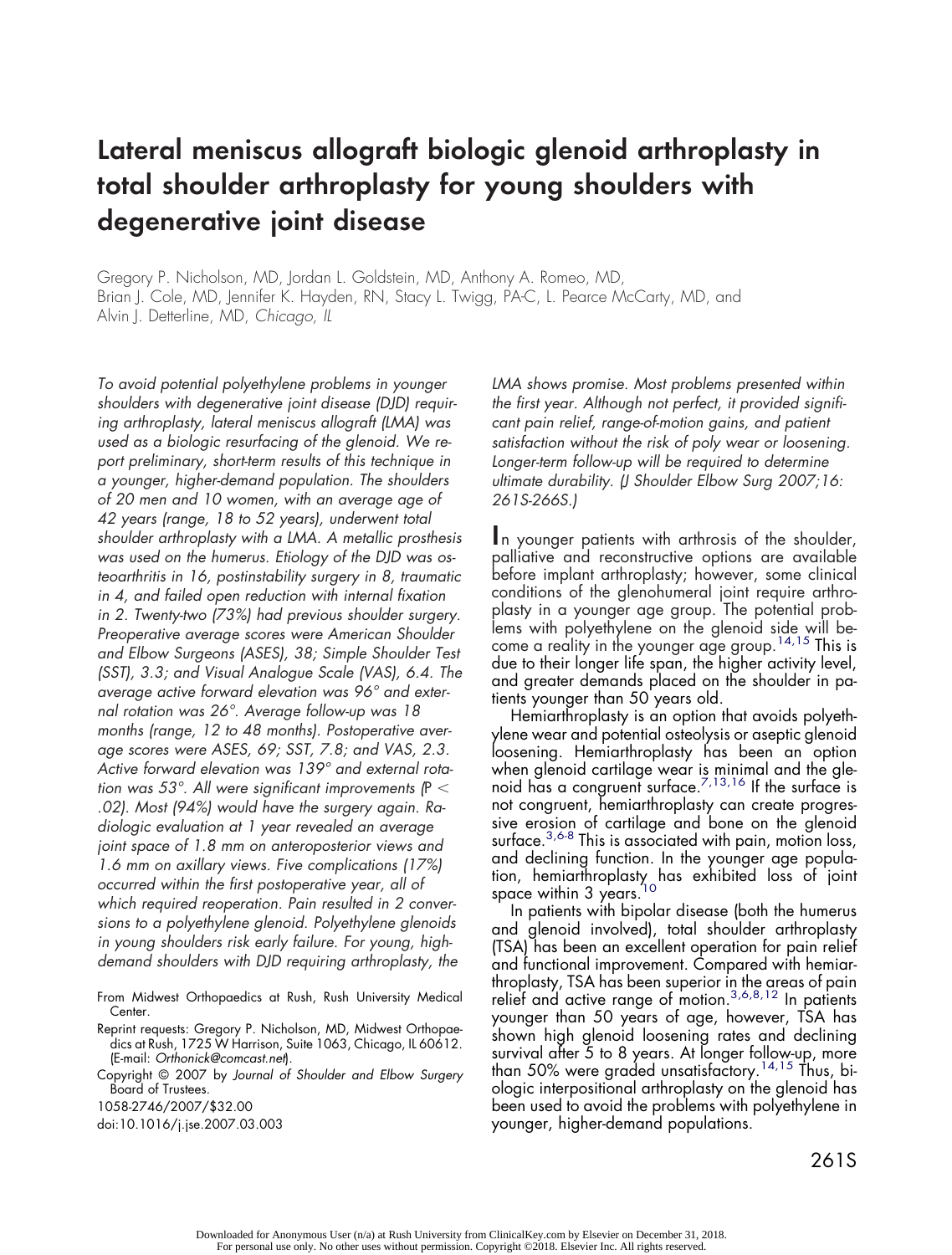# **Lateral meniscus allograft biologic glenoid arthroplasty in total shoulder arthroplasty for young shoulders with degenerative joint disease**

Gregory P. Nicholson, MD, Jordan L. Goldstein, MD, Anthony A. Romeo, MD, Brian J. Cole, MD, Jennifer K. Hayden, RN, Stacy L. Twigg, PA-C, L. Pearce McCarty, MD, and Alvin J. Detterline, MD, *Chicago, IL*

*To avoid potential polyethylene problems in younger shoulders with degenerative joint disease (DJD) requiring arthroplasty, lateral meniscus allograft (LMA) was used as a biologic resurfacing of the glenoid. We report preliminary, short-term results of this technique in a younger, higher-demand population. The shoulders of 20 men and 10 women, with an average age of 42 years (range, 18 to 52 years), underwent total shoulder arthroplasty with a LMA. A metallic prosthesis was used on the humerus. Etiology of the DJD was osteoarthritis in 16, postinstability surgery in 8, traumatic in 4, and failed open reduction with internal fixation in 2. Twenty-two (73%) had previous shoulder surgery. Preoperative average scores were American Shoulder and Elbow Surgeons (ASES), 38; Simple Shoulder Test (SST), 3.3; and Visual Analogue Scale (VAS), 6.4. The average active forward elevation was 96° and external rotation was 26°. Average follow-up was 18 months (range, 12 to 48 months). Postoperative average scores were ASES, 69; SST, 7.8; and VAS, 2.3. Active forward elevation was 139° and external rotation was 53°. All were significant improvements (*P *.02). Most (94%) would have the surgery again. Radiologic evaluation at 1 year revealed an average joint space of 1.8 mm on anteroposterior views and 1.6 mm on axillary views. Five complications (17%) occurred within the first postoperative year, all of which required reoperation. Pain resulted in 2 conversions to a polyethylene glenoid. Polyethylene glenoids in young shoulders risk early failure. For young, highdemand shoulders with DJD requiring arthroplasty, the*

From Midwest Orthopaedics at Rush, Rush University Medical Center.

Reprint requests: Gregory P. Nicholson, MD, Midwest Orthopaedics at Rush, 1725 W Harrison, Suite 1063, Chicago, IL 60612. (E-mail: *Orthonick@comcast.net*).

Copyright © 2007 by *Journal of Shoulder and Elbow Surgery* Board of Trustees.

1058-2746/2007/\$32.00

doi:10.1016/j.jse.2007.03.003

*LMA shows promise. Most problems presented within the first year. Although not perfect, it provided significant pain relief, range-of-motion gains, and patient satisfaction without the risk of poly wear or loosening. Longer-term follow-up will be required to determine ultimate durability. (J Shoulder Elbow Surg 2007;16: 261S-266S.)*

**I**n younger patients with arthrosis of the shoulder, palliative and reconstructive options are available before implant arthroplasty; however, some clinical conditions of the glenohumeral joint require arthroplasty in a younger age group. The potential problems with polyethylene on the glenoid side will become a reality in the younger age group.<sup>14,15</sup> This is due to their longer life span, the higher activity level, and greater demands placed on the shoulder in patients younger than 50 years old.

Hemiarthroplasty is an option that avoids polyethylene wear and potential osteolysis or aseptic glenoid loosening. Hemiarthroplasty has been an option when glenoid cartilage wear is minimal and the glenoid has a congruent surface. $^{7,13,16}$  If the surface is not congruent, hemiarthroplasty can create progressive erosion of cartilage and bone on the glenoid surface.<sup>3,6-8</sup> This is associated with pain, motion loss, and declining function. In the younger age population, hemiarthroplasty has exhibited loss of joint space within 3 years.

In patients with bipolar disease (both the humerus and glenoid involved), total shoulder arthroplasty (TSA) has been an excellent operation for pain relief and functional improvement. Compared with hemiarthroplasty, TSA has been superior in the areas of pain relief and active range of motion.<sup>3,6,8,12</sup> In patients younger than 50 years of age, however, TSA has shown high glenoid loosening rates and declining survival after 5 to 8 years. At longer follow-up, more than 50% were graded unsatisfactory.<sup>14,15</sup> Thus, biologic interpositional arthroplasty on the glenoid has been used to avoid the problems with polyethylene in younger, higher-demand populations.

Downloaded for Anonymous User (n/a) at Rush University from ClinicalKey.com by Elsevier on December 31, 2018. For personal use only. No other uses without permission. Copyright ©2018. Elsevier Inc. All rights reserved.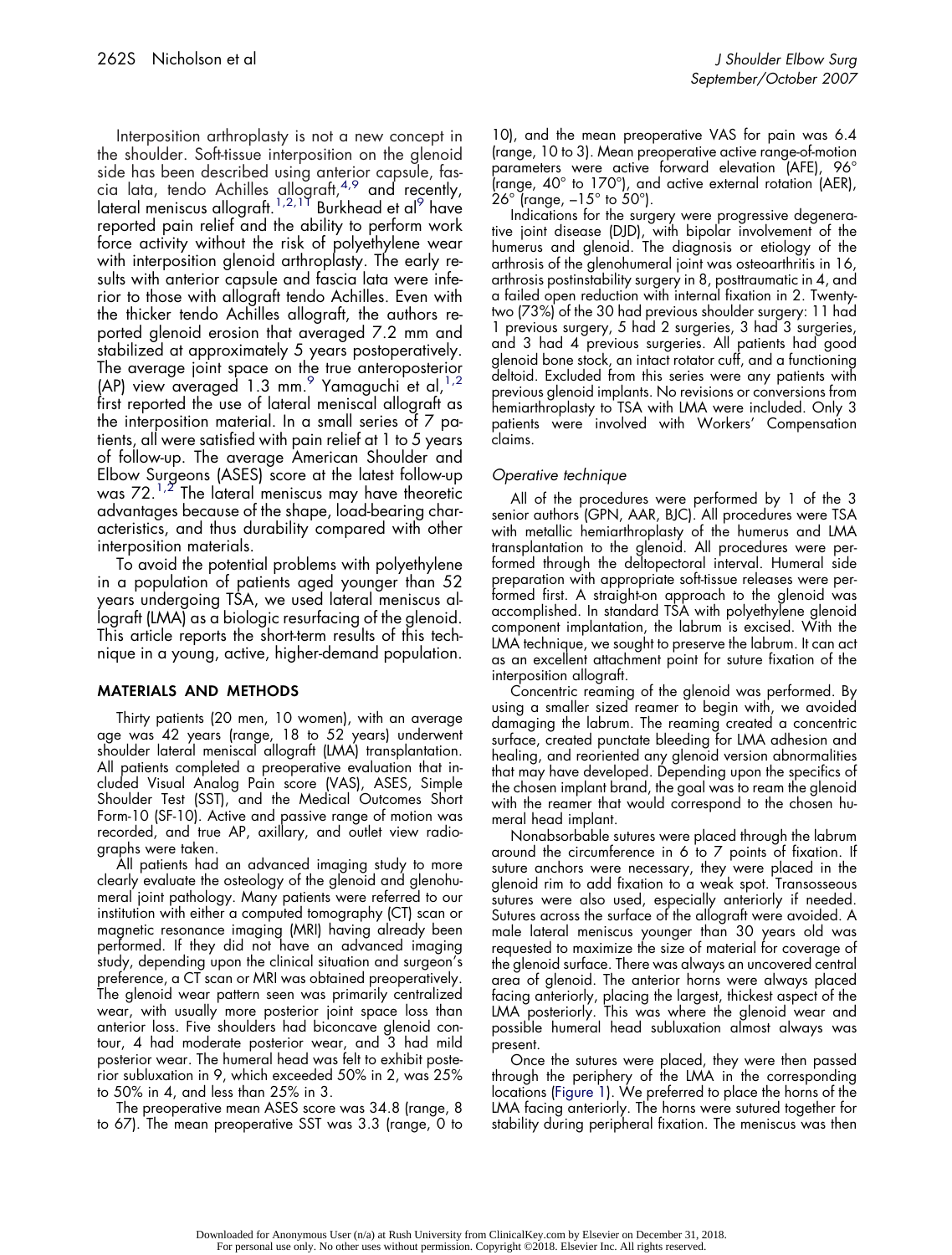Interposition arthroplasty is not a new concept in the shoulder. Soft-tissue interposition on the glenoid side has been described using anterior capsule, fascia lata, tendo Achilles allograft, $4.9$  and recently, lateral meniscus allograft.<sup>1,2,17</sup> Burkhead et al<sup>9</sup> have reported pain relief and the ability to perform work force activity without the risk of polyethylene wear with interposition glenoid arthroplasty. The early results with anterior capsule and fascia lata were inferior to those with allograft tendo Achilles. Even with the thicker tendo Achilles allograft, the authors reported glenoid erosion that averaged 7.2 mm and stabilized at approximately 5 years postoperatively. The average joint space on the true anteroposterior (AP) view averaged  $1.3$  mm.<sup>9</sup> Yamaguchi et al,  $1.2$ 

first reported the use of lateral meniscal allograft as the interposition material. In a small series of 7 patients, all were satisfied with pain relief at 1 to 5 years of follow-up. The average American Shoulder and Elbow Surgeons (ASES) score at the latest follow-up was  $72^{1.2}$  The lateral meniscus may have theoretic advantages because of the shape, load-bearing characteristics, and thus durability compared with other interposition materials.

To avoid the potential problems with polyethylene in a population of patients aged younger than 52 years undergoing TSA, we used lateral meniscus allograft (LMA) as a biologic resurfacing of the glenoid. This article reports the short-term results of this technique in a young, active, higher-demand population.

# **MATERIALS AND METHODS**

Thirty patients (20 men, 10 women), with an average age was 42 years (range, 18 to 52 years) underwent shoulder lateral meniscal allograft (LMA) transplantation. All patients completed a preoperative evaluation that included Visual Analog Pain score (VAS), ASES, Simple Shoulder Test (SST), and the Medical Outcomes Short Form-10 (SF-10). Active and passive range of motion was recorded, and true AP, axillary, and outlet view radiographs were taken.

All patients had an advanced imaging study to more clearly evaluate the osteology of the glenoid and glenohumeral joint pathology. Many patients were referred to our institution with either a computed tomography (CT) scan or magnetic resonance imaging (MRI) having already been performed. If they did not have an advanced imaging study, depending upon the clinical situation and surgeon's preference, a CT scan or MRI was obtained preoperatively. The glenoid wear pattern seen was primarily centralized wear, with usually more posterior joint space loss than anterior loss. Five shoulders had biconcave glenoid contour, 4 had moderate posterior wear, and 3 had mild posterior wear. The humeral head was felt to exhibit posterior subluxation in 9, which exceeded 50% in 2, was 25% to 50% in 4, and less than 25% in 3.

The preoperative mean ASES score was 34.8 (range, 8 to 67). The mean preoperative SST was 3.3 (range, 0 to 10), and the mean preoperative VAS for pain was 6.4 (range, 10 to 3). Mean preoperative active range-of-motion parameters were active forward elevation (AFE), 96° (range, 40° to 170°), and active external rotation (AER),  $26^{\circ}$  (range,  $-15^{\circ}$  to  $50^{\circ}$ ).

Indications for the surgery were progressive degenerative joint disease (DJD), with bipolar involvement of the humerus and glenoid. The diagnosis or etiology of the arthrosis of the glenohumeral joint was osteoarthritis in 16, arthrosis postinstability surgery in 8, posttraumatic in 4, and a failed open reduction with internal fixation in 2. Twentytwo (73%) of the 30 had previous shoulder surgery: 11 had 1 previous surgery, 5 had 2 surgeries, 3 had 3 surgeries, and 3 had 4 previous surgeries. All patients had good glenoid bone stock, an intact rotator cuff, and a functioning deltoid. Excluded from this series were any patients with previous glenoid implants. No revisions or conversions from hemiarthroplasty to TSA with LMA were included. Only 3 patients were involved with Workers' Compensation claims.

# *Operative technique*

All of the procedures were performed by 1 of the 3 senior authors (GPN, AAR, BJC). All procedures were TSA with metallic hemiarthroplasty of the humerus and LMA transplantation to the glenoid. All procedures were performed through the deltopectoral interval. Humeral side preparation with appropriate soft-tissue releases were performed first. A straight-on approach to the glenoid was accomplished. In standard TSA with polyethylene glenoid component implantation, the labrum is excised. With the LMA technique, we sought to preserve the labrum. It can act as an excellent attachment point for suture fixation of the interposition allograft.

Concentric reaming of the glenoid was performed. By using a smaller sized reamer to begin with, we avoided damaging the labrum. The reaming created a concentric surface, created punctate bleeding for LMA adhesion and healing, and reoriented any glenoid version abnormalities that may have developed. Depending upon the specifics of the chosen implant brand, the goal was to ream the glenoid with the reamer that would correspond to the chosen humeral head implant.

Nonabsorbable sutures were placed through the labrum around the circumference in 6 to 7 points of fixation. If suture anchors were necessary, they were placed in the glenoid rim to add fixation to a weak spot. Transosseous sutures were also used, especially anteriorly if needed. Sutures across the surface of the allograft were avoided. A male lateral meniscus younger than 30 years old was requested to maximize the size of material for coverage of the glenoid surface. There was always an uncovered central area of glenoid. The anterior horns were always placed facing anteriorly, placing the largest, thickest aspect of the LMA posteriorly. This was where the glenoid wear and possible humeral head subluxation almost always was present.

Once the sutures were placed, they were then passed through the periphery of the LMA in the corresponding locations (Figure 1). We preferred to place the horns of the LMA facing anteriorly. The horns were sutured together for stability during peripheral fixation. The meniscus was then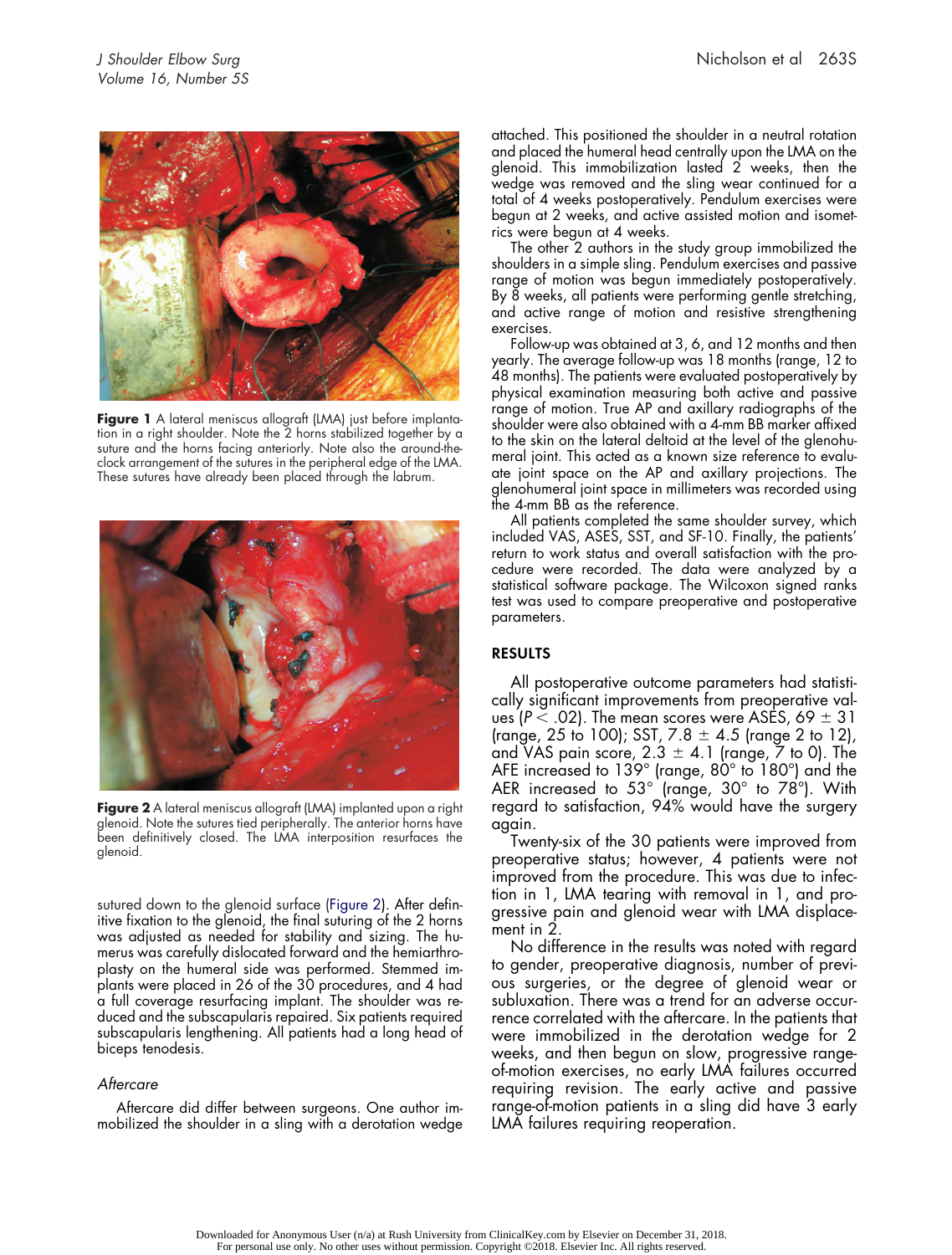

**Figure 1** A lateral meniscus allograft (LMA) just before implantation in a right shoulder. Note the 2 horns stabilized together by a suture and the horns facing anteriorly. Note also the around-theclock arrangement of the sutures in the peripheral edge of the LMA. These sutures have already been placed through the labrum.



**Figure 2** A lateral meniscus allograft (LMA) implanted upon a right glenoid. Note the sutures tied peripherally. The anterior horns have been definitively closed. The LMA interposition resurfaces the glenoid.

sutured down to the glenoid surface (Figure 2). After definitive fixation to the glenoid, the final suturing of the 2 horns was adjusted as needed for stability and sizing. The humerus was carefully dislocated forward and the hemiarthroplasty on the humeral side was performed. Stemmed implants were placed in 26 of the 30 procedures, and 4 had a full coverage resurfacing implant. The shoulder was reduced and the subscapularis repaired. Six patients required subscapularis lengthening. All patients had a long head of biceps tenodesis.

#### *Aftercare*

Aftercare did differ between surgeons. One author immobilized the shoulder in a sling with a derotation wedge attached. This positioned the shoulder in a neutral rotation and placed the humeral head centrally upon the LMA on the glenoid. This immobilization lasted 2 weeks, then the wedge was removed and the sling wear continued for a total of 4 weeks postoperatively. Pendulum exercises were begun at 2 weeks, and active assisted motion and isometrics were begun at 4 weeks.

The other 2 authors in the study group immobilized the shoulders in a simple sling. Pendulum exercises and passive range of motion was begun immediately postoperatively. By 8 weeks, all patients were performing gentle stretching, and active range of motion and resistive strengthening exercises.

Follow-up was obtained at 3, 6, and 12 months and then yearly. The average follow-up was 18 months (range, 12 to 48 months). The patients were evaluated postoperatively by physical examination measuring both active and passive range of motion. True AP and axillary radiographs of the shoulder were also obtained with a 4-mm BB marker affixed to the skin on the lateral deltoid at the level of the glenohumeral joint. This acted as a known size reference to evaluate joint space on the AP and axillary projections. The glenohumeral joint space in millimeters was recorded using the 4-mm BB as the reference.

All patients completed the same shoulder survey, which included VAS, ASES, SST, and SF-10. Finally, the patients' return to work status and overall satisfaction with the procedure were recorded. The data were analyzed by a statistical software package. The Wilcoxon signed ranks test was used to compare preoperative and postoperative parameters.

# **RESULTS**

All postoperative outcome parameters had statistically significant improvements from preoperative values (P  $<$  .02). The mean scores were ASES, 69  $\pm$  31 (range, 25 to 100); SST, 7.8  $\pm$  4.5 (range 2 to 12), and VAS pain score, 2.3  $\pm$  4.1 (range, 7 to 0). The AFE increased to 139° (range, 80° to 180°) and the AER increased to 53° (range, 30° to 78°). With regard to satisfaction, 94% would have the surgery again.

Twenty-six of the 30 patients were improved from preoperative status; however, 4 patients were not improved from the procedure. This was due to infection in 1, LMA tearing with removal in 1, and progressive pain and glenoid wear with LMA displacement in 2.

No difference in the results was noted with regard to gender, preoperative diagnosis, number of previous surgeries, or the degree of glenoid wear or subluxation. There was a trend for an adverse occurrence correlated with the aftercare. In the patients that were immobilized in the derotation wedge for 2 weeks, and then begun on slow, progressive rangeof-motion exercises, no early LMA failures occurred requiring revision. The early active and passive range-of-motion patients in a sling did have 3 early LMA failures requiring reoperation.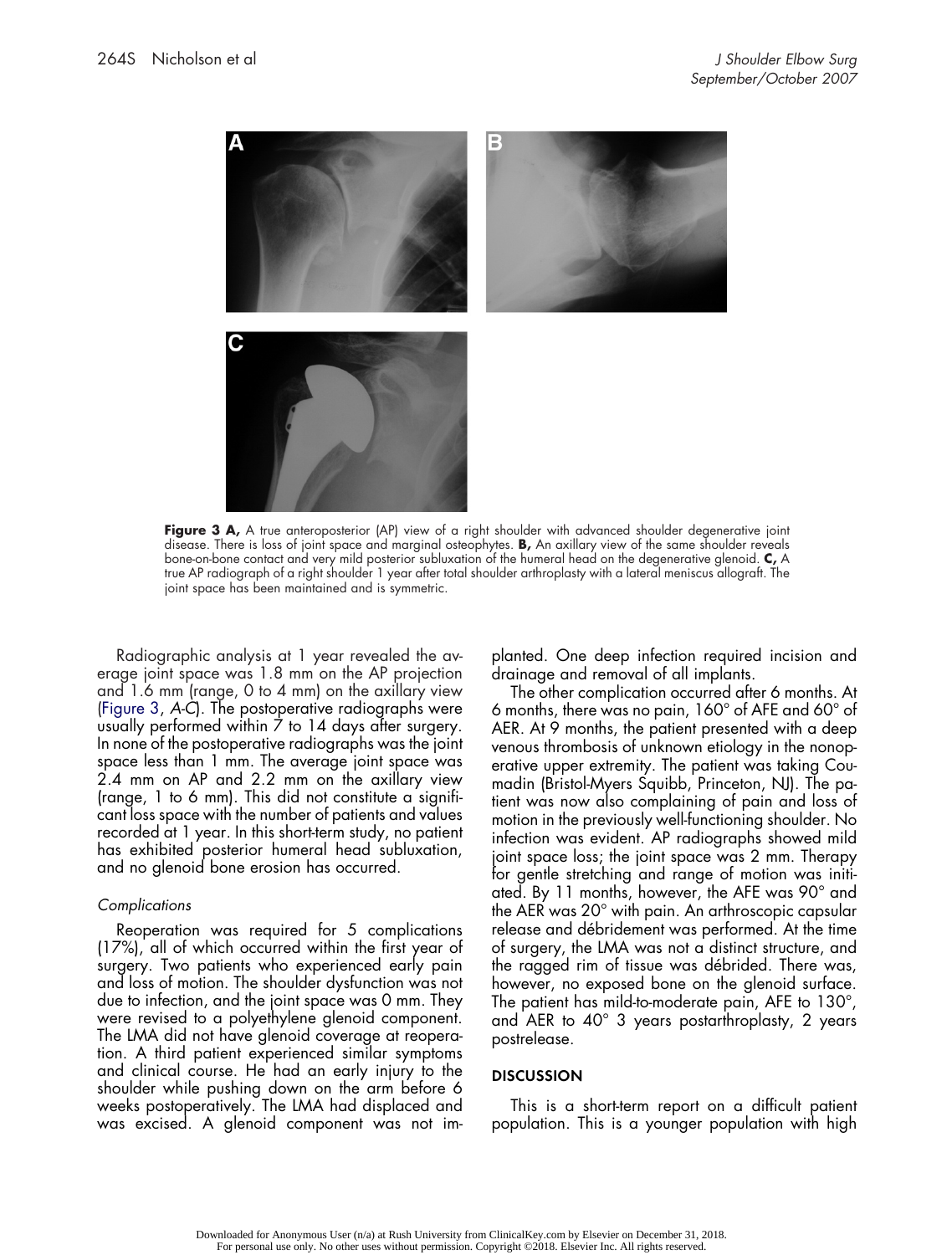

**Figure 3 A,** A true anteroposterior (AP) view of a right shoulder with advanced shoulder degenerative joint disease. There is loss of joint space and marginal osteophytes. **B,** An axillary view of the same shoulder reveals bone-on-bone contact and very mild posterior subluxation of the humeral head on the degenerative glenoid. **C,** A true AP radiograph of a right shoulder 1 year after total shoulder arthroplasty with a lateral meniscus allograft. The joint space has been maintained and is symmetric.

Radiographic analysis at 1 year revealed the average joint space was 1.8 mm on the AP projection and 1.6 mm (range, 0 to 4 mm) on the axillary view (Figure 3, *A-C*). The postoperative radiographs were usually performed within 7 to 14 days after surgery. In none of the postoperative radiographs was the joint space less than 1 mm. The average joint space was 2.4 mm on AP and 2.2 mm on the axillary view (range, 1 to 6 mm). This did not constitute a significant loss space with the number of patients and values recorded at 1 year. In this short-term study, no patient has exhibited posterior humeral head subluxation, and no glenoid bone erosion has occurred.

#### *Complications*

Reoperation was required for 5 complications (17%), all of which occurred within the first year of surgery. Two patients who experienced early pain and loss of motion. The shoulder dysfunction was not due to infection, and the joint space was 0 mm. They were revised to a polyethylene glenoid component. The LMA did not have glenoid coverage at reoperation. A third patient experienced similar symptoms and clinical course. He had an early injury to the shoulder while pushing down on the arm before 6 weeks postoperatively. The LMA had displaced and was excised. A glenoid component was not implanted. One deep infection required incision and drainage and removal of all implants.

The other complication occurred after 6 months. At 6 months, there was no pain, 160° of AFE and 60° of AER. At 9 months, the patient presented with a deep venous thrombosis of unknown etiology in the nonoperative upper extremity. The patient was taking Coumadin (Bristol-Myers Squibb, Princeton, NJ). The patient was now also complaining of pain and loss of motion in the previously well-functioning shoulder. No infection was evident. AP radiographs showed mild joint space loss; the joint space was 2 mm. Therapy for gentle stretching and range of motion was initiated. By 11 months, however, the AFE was 90° and the AER was 20° with pain. An arthroscopic capsular release and débridement was performed. At the time of surgery, the LMA was not a distinct structure, and the ragged rim of tissue was débrided. There was, however, no exposed bone on the glenoid surface. The patient has mild-to-moderate pain, AFE to 130°, and AER to 40° 3 years postarthroplasty, 2 years postrelease.

#### **DISCUSSION**

This is a short-term report on a difficult patient population. This is a younger population with high

Downloaded for Anonymous User (n/a) at Rush University from ClinicalKey.com by Elsevier on December 31, 2018. For personal use only. No other uses without permission. Copyright ©2018. Elsevier Inc. All rights reserved.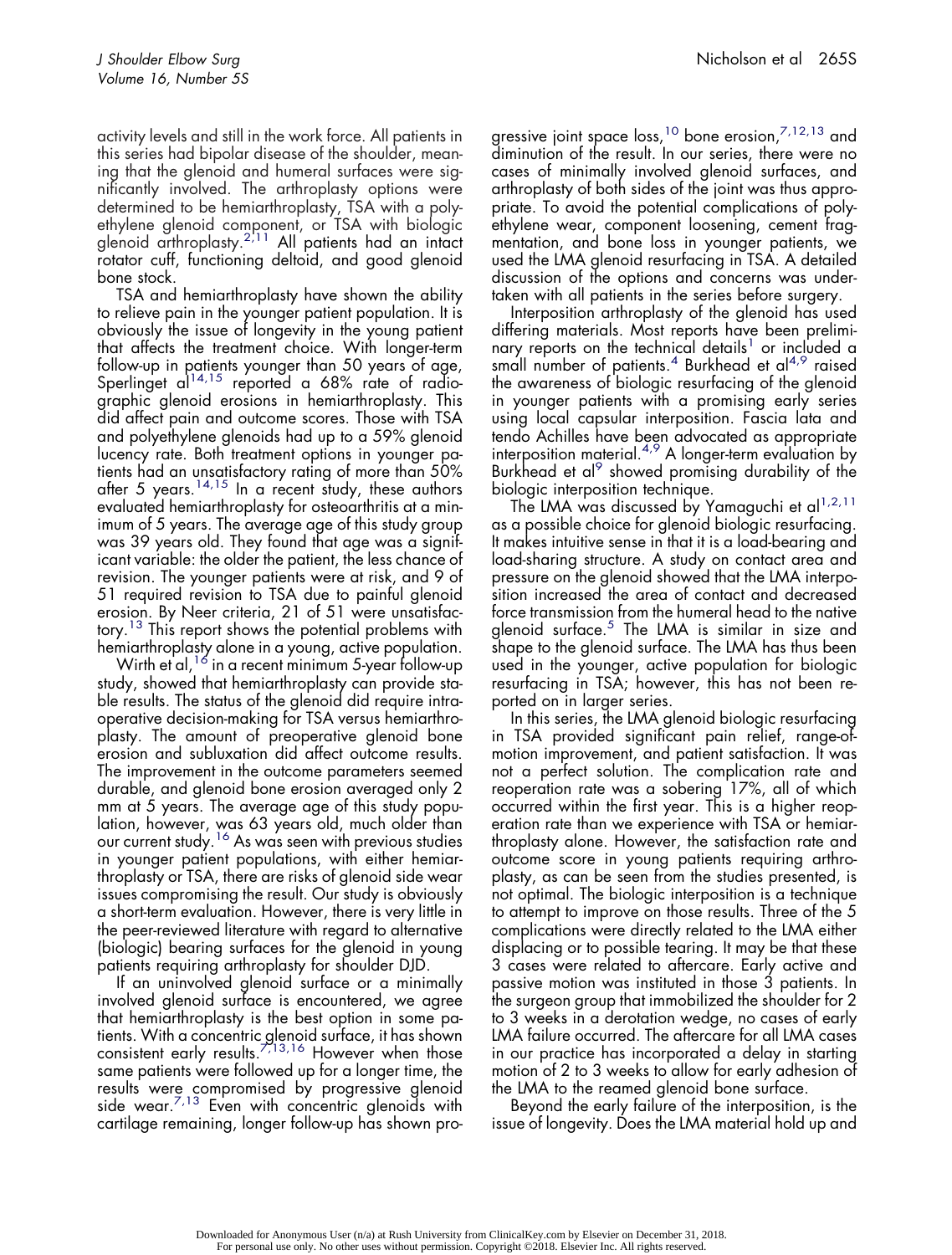activity levels and still in the work force. All patients in this series had bipolar disease of the shoulder, meaning that the glenoid and humeral surfaces were significantly involved. The arthroplasty options were determined to be hemiarthroplasty, TSA with a polyethylene glenoid component, or TSA with biologic glenoid arthroplasty.<sup>2',11</sup> All patients had an intact rotator cuff, functioning deltoid, and good glenoid bone stock.

TSA and hemiarthroplasty have shown the ability to relieve pain in the younger patient population. It is obviously the issue of longevity in the young patient that affects the treatment choice. With longer-term follow-up in patients younger than 50 years of age, Sperlinget al<sup>14,15</sup> reported a 68% rate of radiographic glenoid erosions in hemiarthroplasty. This did affect pain and outcome scores. Those with TSA and polyethylene glenoids had up to a 59% glenoid lucency rate. Both treatment options in younger patients had an unsatisfactory rating of more than 50% after 5 years.<sup>14,15</sup> In a recent study, these authors evaluated hemiarthroplasty for osteoarthritis at a minimum of 5 years. The average age of this study group was 39 years old. They found that age was a significant variable: the older the patient, the less chance of revision. The younger patients were at risk, and 9 of 51 required revision to TSA due to painful glenoid erosion. By Neer criteria, 21 of 51 were unsatisfactory.<sup>13</sup> This report shows the potential problems with hemiarthroplasty alone in a young, active population.

Wirth et al,  $16$  in a recent minimum 5-year follow-up study, showed that hemiarthroplasty can provide stable results. The status of the glenoid did require intraoperative decision-making for TSA versus hemiarthroplasty. The amount of preoperative glenoid bone erosion and subluxation did affect outcome results. The improvement in the outcome parameters seemed durable, and glenoid bone erosion averaged only 2 mm at 5 years. The average age of this study population, however, was 63 years old, much older than our current study.<sup>16</sup> As was seen with previous studies in younger patient populations, with either hemiarthroplasty or TSA, there are risks of glenoid side wear issues compromising the result. Our study is obviously a short-term evaluation. However, there is very little in the peer-reviewed literature with regard to alternative (biologic) bearing surfaces for the glenoid in young patients requiring arthroplasty for shoulder DJD.

If an uninvolved glenoid surface or a minimally involved glenoid surface is encountered, we agree that hemiarthroplasty is the best option in some patients. With a concentric glenoid surface, it has shown consistent early results. $7713,16$  However when those same patients were followed up for a longer time, the results were compromised by progressive glenoid side wear. $^{7,13}$  Even with concentric glenoids with cartilage remaining, longer follow-up has shown progressive joint space loss,<sup>10</sup> bone erosion,<sup>7,12,13</sup> and diminution of the result. In our series, there were no cases of minimally involved glenoid surfaces, and arthroplasty of both sides of the joint was thus appropriate. To avoid the potential complications of polyethylene wear, component loosening, cement fragmentation, and bone loss in younger patients, we used the LMA glenoid resurfacing in TSA. A detailed discussion of the options and concerns was undertaken with all patients in the series before surgery.

Interposition arthroplasty of the glenoid has used differing materials. Most reports have been preliminary reports on the technical details<sup>1</sup> or included a small number of patients.<sup>4</sup> Burkhead et al<sup>4,9</sup> raised the awareness of biologic resurfacing of the glenoid in younger patients with a promising early series using local capsular interposition. Fascia lata and tendo Achilles have been advocated as appropriate interposition material. $4.9$  A longer-term evaluation by Burkhead et al<sup>9</sup> showed promising durability of the biologic interposition technique.

The LMA was discussed by Yamaguchi et al<sup>1,2,11</sup> as a possible choice for glenoid biologic resurfacing. It makes intuitive sense in that it is a load-bearing and load-sharing structure. A study on contact area and pressure on the glenoid showed that the LMA interposition increased the area of contact and decreased force transmission from the humeral head to the native glenoid surface. $5$  The LMA is similar in size and shape to the glenoid surface. The LMA has thus been used in the younger, active population for biologic resurfacing in TSA; however, this has not been reported on in larger series.

In this series, the LMA glenoid biologic resurfacing in TSA provided significant pain relief, range-ofmotion improvement, and patient satisfaction. It was not a perfect solution. The complication rate and reoperation rate was a sobering 17%, all of which occurred within the first year. This is a higher reoperation rate than we experience with TSA or hemiarthroplasty alone. However, the satisfaction rate and outcome score in young patients requiring arthroplasty, as can be seen from the studies presented, is not optimal. The biologic interposition is a technique to attempt to improve on those results. Three of the 5 complications were directly related to the LMA either displacing or to possible tearing. It may be that these 3 cases were related to aftercare. Early active and passive motion was instituted in those 3 patients. In the surgeon group that immobilized the shoulder for 2 to 3 weeks in a derotation wedge, no cases of early LMA failure occurred. The aftercare for all LMA cases in our practice has incorporated a delay in starting motion of 2 to 3 weeks to allow for early adhesion of the LMA to the reamed glenoid bone surface.

Beyond the early failure of the interposition, is the issue of longevity. Does the LMA material hold up and